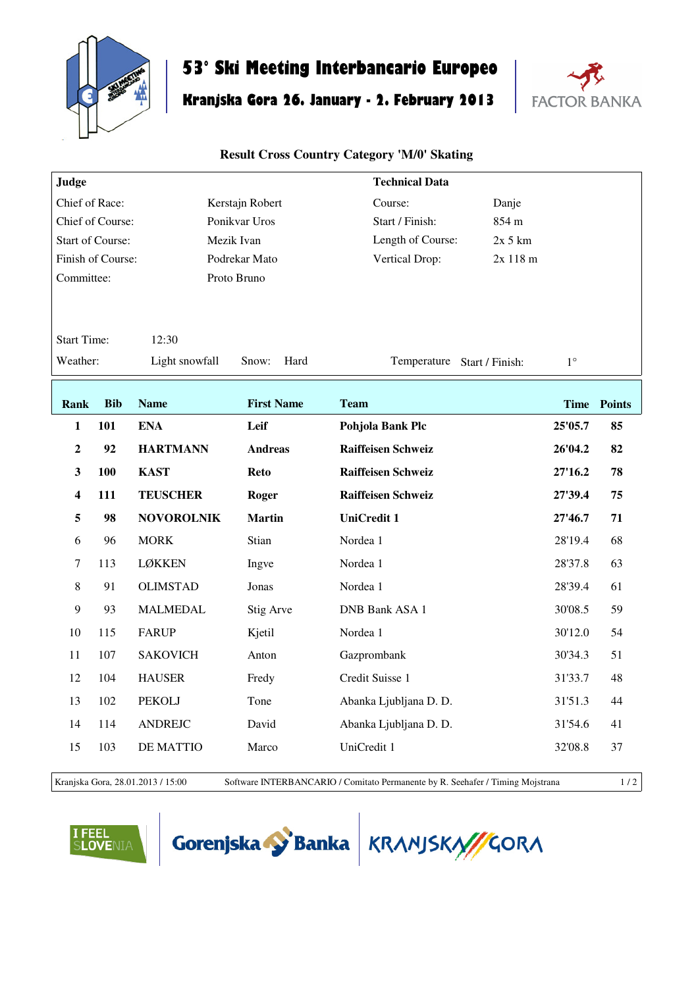

## **53° Ski Meeting Interbancario Europeo**

# **Kranjska Gora 26. January - 2. February 2013**



#### **Result Cross Country Category 'M/0' Skating**

| Judge                       |                   |                   |                   | <b>Technical Data</b>       |           |             |             |
|-----------------------------|-------------------|-------------------|-------------------|-----------------------------|-----------|-------------|-------------|
| Chief of Race:              |                   |                   | Kerstajn Robert   | Course:                     | Danje     |             |             |
| Chief of Course:            |                   |                   | Ponikvar Uros     | Start / Finish:             | 854 m     |             |             |
| <b>Start of Course:</b>     |                   |                   | Mezik Ivan        | Length of Course:           | $2x$ 5 km |             |             |
|                             | Finish of Course: |                   | Podrekar Mato     | Vertical Drop:              | 2x 118 m  |             |             |
| Committee:                  |                   |                   | Proto Bruno       |                             |           |             |             |
|                             |                   |                   |                   |                             |           |             |             |
| <b>Start Time:</b><br>12:30 |                   |                   |                   |                             |           |             |             |
| Weather:                    |                   | Light snowfall    | Snow:<br>Hard     | Temperature Start / Finish: |           | $1^{\circ}$ |             |
|                             |                   |                   |                   |                             |           |             |             |
| Rank                        | <b>Bib</b>        | <b>Name</b>       | <b>First Name</b> | <b>Team</b>                 |           |             | Time Points |
|                             | 101               | <b>ENA</b>        | Leif              | Pohjola Bank Plc            |           | 25'05.7     | 85          |
| 1                           |                   |                   |                   |                             |           |             |             |
| $\overline{2}$              | 92                | <b>HARTMANN</b>   | <b>Andreas</b>    | Raiffeisen Schweiz          |           | 26'04.2     | 82          |
| $\mathbf{3}$                | 100               | <b>KAST</b>       | <b>Reto</b>       | <b>Raiffeisen Schweiz</b>   |           | 27'16.2     | 78          |
| 4                           | 111               | <b>TEUSCHER</b>   | Roger             | <b>Raiffeisen Schweiz</b>   |           | 27'39.4     | 75          |
| 5                           | 98                | <b>NOVOROLNIK</b> | <b>Martin</b>     | <b>UniCredit 1</b>          |           | 27'46.7     | 71          |
| 6                           | 96                | <b>MORK</b>       | Stian             | Nordea 1                    |           | 28'19.4     | 68          |
| $\boldsymbol{7}$            | 113               | <b>LØKKEN</b>     | Ingve             | Nordea 1                    |           | 28'37.8     | 63          |
| $8\,$                       | 91                | <b>OLIMSTAD</b>   | Jonas             | Nordea 1                    |           | 28'39.4     | 61          |
| 9                           | 93                | <b>MALMEDAL</b>   | Stig Arve         | <b>DNB Bank ASA 1</b>       |           | 30'08.5     | 59          |
| 10                          | 115               | <b>FARUP</b>      | Kjetil            | Nordea 1                    |           | 30'12.0     | 54          |
| 11                          | 107               | <b>SAKOVICH</b>   | Anton             | Gazprombank                 |           | 30'34.3     | 51          |
| 12                          | 104               | <b>HAUSER</b>     | Fredy             | Credit Suisse 1             |           | 31'33.7     | 48          |
| 13                          | 102               | <b>PEKOLJ</b>     | Tone              | Abanka Ljubljana D. D.      |           | 31'51.3     | 44          |
| 14                          | 114               | <b>ANDREJC</b>    | David             | Abanka Ljubljana D. D.      |           | 31'54.6     | 41          |
| 15                          | 103               | <b>DE MATTIO</b>  | Marco             | UniCredit 1                 |           | 32'08.8     | 37          |
|                             |                   |                   |                   |                             |           |             |             |

Kranjska Gora, 28.01.2013 / 15:00 Software INTERBANCARIO / Comitato Permanente by R. Seehafer / Timing Mojstrana 1 / 2